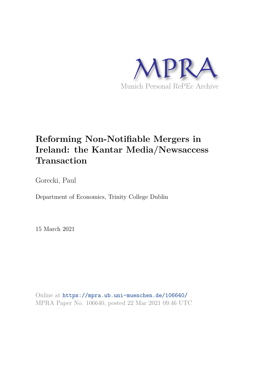

# **Reforming Non-Notifiable Mergers in Ireland: the Kantar Media/Newsaccess Transaction**

Gorecki, Paul

Department of Economics, Trinity College Dublin

15 March 2021

Online at https://mpra.ub.uni-muenchen.de/106640/ MPRA Paper No. 106640, posted 22 Mar 2021 09:46 UTC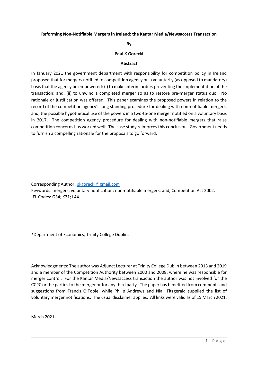#### **Reforming Non-Notifiable Mergers in Ireland: the Kantar Media/Newsaccess Transaction**

#### **By**

#### **Paul K Gorecki**

#### **Abstract**

In January 2021 the government department with responsibility for competition policy in Ireland proposed that for mergers notified to competition agency on a voluntarily (as opposed to mandatory) basis that the agency be empowered: (i) to make interim orders preventing the implementation of the transaction; and, (ii) to unwind a completed merger so as to restore pre-merger status quo. No rationale or justification was offered. This paper examines the proposed powers in relation to the record of the competition agency's long standing procedure for dealing with non-notifiable mergers, and, the possible hypothetical use of the powers in a two-to-one merger notified on a voluntary basis in 2017. The competition agency procedure for dealing with non-notifiable mergers that raise competition concerns has worked well. The case study reinforces this conclusion. Government needs to furnish a compelling rationale for the proposals to go forward.

Corresponding Author: [pkgorecki@gmail.com](mailto:pkgorecki@gmail.com)

Keywords: mergers; voluntary notification; non-notifiable mergers; and, Competition Act 2002. JEL Codes: G34; K21; L44.

\*Department of Economics, Trinity College Dublin.

Acknowledgments: The author was Adjunct Lecturer at Trinity College Dublin between 2013 and 2019 and a member of the Competition Authority between 2000 and 2008, where he was responsible for merger control. For the Kantar Media/Newsaccess transaction the author was not involved for the CCPC or the parties to the merger or for any third party. The paper has benefited from comments and suggestions from Francis O'Toole, while Philip Andrews and Niall Fitzgerald supplied the list of voluntary merger notifications. The usual disclaimer applies. All links were valid as of 15 March 2021.

March 2021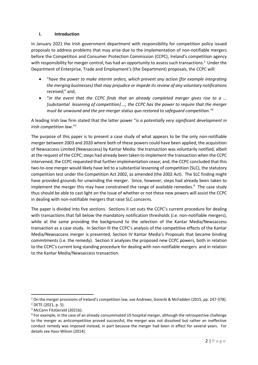### **I. Introduction**

In January 2021 the Irish government department with responsibility for competition policy issued proposals to address problems that may arise due to the implementation of non-notifiable mergers before the Competition and Consumer Protection Commission (CCPC), Ireland's competition agency with responsibility for merger control, has had an opportunity to assess such transactions.<sup>1</sup> Under the Department of Enterprise, Trade and Employment's (the Department) proposals, the CCPC will:

- "*have the power to make interim orders, which prevent any action (for example integrating the merging businesses) that may prejudice or impede its review of any voluntary notifications received*;" and,
- "*in the event that the CCPC finds that an already completed merger gives rise to a … [substantial lessening of competition] …, the CCPC has the power to require that the merger must be unwound and the pre-merger status quo restored to safeguard competition."*<sup>2</sup>

A leading Irish law firm stated that the latter power "*is a potentially very significant development in Irish competition law*."<sup>3</sup>

The purpose of this paper is to present a case study of what appears to be the only non-notifiable merger between 2003 and 2020 where both of these powers could have been applied, the acquisition of Newsaccess Limited (Newsaccess) by Kantar Media: the transaction was voluntarily notified, albeit at the request of the CCPC; steps had already been taken to implement the transaction when the CCPC intervened; the CCPC requested that further implementation cease; and, the CCPC concluded that this two-to-one merger would likely have led to a substantial lessening of competition (SLC), the statutory competition test under the Competition Act 2002, as amended (the 2002 Act). The SLC finding might have provided grounds for unwinding the merger. Since, however, steps had already been taken to implement the merger this may have constrained the range of available remedies.<sup>4</sup> The case study thus should be able to cast light on the issue of whether or not these new powers will assist the CCPC in dealing with non-notifiable mergers that raise SLC concerns.

The paper is divided into five sections. Sections II set outs the CCPC's current procedure for dealing with transactions that fall below the mandatory notification thresholds (i.e. non-notifiable mergers), while at the same providing the background to the selection of the Kantar Media/Newsaccess transaction as a case study. In Section III the CCPC's analysis of the competitive effects of the Kantar Media/Newsaccess merger is presented, Section IV Kantar Media's Proposals that became binding commitments (i.e. the remedy). Section V analyses the proposed new CCPC powers, both in relation to the CCPC's current long standing procedure for dealing with non-notifiable mergers and in relation to the Kantar Media/Newsaccess transaction.

<sup>&</sup>lt;sup>1</sup> On the merger provisions of Ireland's competition law, see Andrews, Gorecki & McFadden (2015, pp. 247-378). 2 DETE (2021, p. 5).

<sup>&</sup>lt;sup>3</sup> McCann FitzGerald (2021b).

<sup>&</sup>lt;sup>4</sup> For example, in the case of an already consummated US hospital merger, although the retrospective challenge to the merger as anticompetitive proved successful, the merger was not dissolved but rather an ineffective conduct remedy was imposed instead, in part because the merger had been in effect for several years. For details see Hass-Wilson (2014).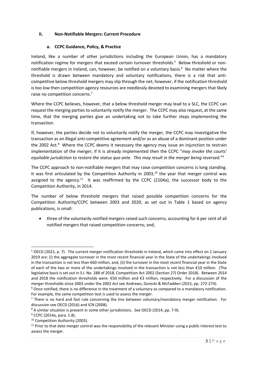## **II. Non-Notifiable Mergers: Current Procedure**

## **a. CCPC Guidance, Policy, & Practice**

Ireland, like a number of other jurisdictions including the European Union, has a mandatory notification regime for mergers that exceed certain turnover thresholds.<sup>5</sup> Below threshold or nonnotifiable mergers in Ireland, can, however, be notified on a voluntary basis.<sup>6</sup> No matter where the threshold is drawn between mandatory and voluntary notifications, there is a risk that anticompetitive below threshold mergers may slip through the net; however, if the notification threshold is too low then competition agency resources are needlessly devoted to examining mergers that likely raise no competition concerns.<sup>7</sup>

Where the CCPC believes, however, that a below threshold merger may lead to a SLC, the CCPC can request the merging parties to voluntarily notify the merger. The CCPC may also request, at the same time, that the merging parties give an undertaking not to take further steps implementing the transaction.

If, however, the parties decide not to voluntarily notify the merger, the CCPC may investigative the transaction as an illegal anti-competitive agreement and/or as an abuse of a dominant position under the 2002 Act.<sup>8</sup> Where the CCPC deems it necessary the agency may issue an injunction to restrain implementation of the merger; if it is already implemented then the CCPC "*may invoke the courts' equitable jurisdiction to restore the status quo ante. This may result in the merger being reversed.*" 9

The CCPC approach to non-notifiable mergers that may raise competition concerns is long standing. It was first articulated by the Competition Authority in 2003.<sup>10</sup> the year that merger control was assigned to the agency.<sup>11</sup> It was reaffirmed by the CCPC (2104a), the successor body to the Competition Authority, in 2014.

The number of below threshold mergers that raised possible competition concerns for the Competition Authority/CCPC between 2003 and 2020, as set out in Table 1 based on agency publications, is small:

• three of the voluntarily notified mergers raised such concerns, accounting for 6 per cent of all notified mergers that raised competition concerns; and,

<sup>&</sup>lt;sup>5</sup> OECD (2021, p. 7). The current merger notification thresholds in Ireland, which came into effect on 1 January 2019 are: (i) the aggregate turnover in the most recent financial year in the State of the undertakings involved in the transaction is not less than €60 million, and, (ii) the turnover in the most recent financial year in the State of each of the two or more of the undertakings involved in the transaction is not less than €10 million. (The legislative basis is set out in S.I. No. 288 of 2018, Competition Act 2002 (Section 27) Order 2018). Between 2014 and 2018 the notification thresholds were: €50 million and €3 million, respectively. For a discussion of the merger thresholds since 2003 under the 2002 Act see Andrews, Gorecki & McFadden (2015, pp. 272-274).

<sup>&</sup>lt;sup>6</sup> Once notified, there is no difference in the treatment of a voluntary as compared to a mandatory notification. For example, the same competition test is used to assess the merger.

 $<sup>7</sup>$  There is no hard and fast rule concerning the line between voluntary/mandatory merger notification. For</sup> discussion see OECD (2016) and ICN (2008).

<sup>&</sup>lt;sup>8</sup> A similar situation is present in some other jurisdictions. See OECD (2014, pp. 7-9).

<sup>&</sup>lt;sup>9</sup> CCPC (2014a, para. 1.8).

<sup>&</sup>lt;sup>10</sup> Competition Authority (2003).

 $11$  Prior to that date merger control was the responsibility of the relevant Minister using a public interest test to assess the merger.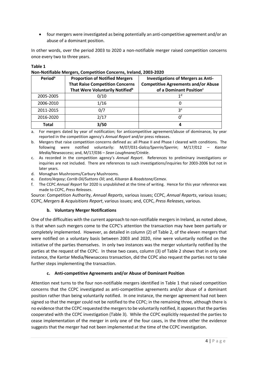• four mergers were investigated as being potentially an anti-competitive agreement and/or an abuse of a dominant position.

In other words, over the period 2003 to 2020 a non-notifiable merger raised competition concerns once every two to three years.

#### **Table 1**

| Period <sup>a</sup> | <b>Proportion of Notified Mergers</b><br><b>That Raise Competition Concerns</b><br>That Were Voluntarily Notified <sup>b</sup> | <b>Investigations of Mergers as Anti-</b><br><b>Competitive Agreements and/or Abuse</b><br>of a Dominant Position <sup>c</sup> |
|---------------------|--------------------------------------------------------------------------------------------------------------------------------|--------------------------------------------------------------------------------------------------------------------------------|
| 2005-2005           | 0/10                                                                                                                           | 1 <sup>d</sup>                                                                                                                 |
| 2006-2010           | 1/16                                                                                                                           |                                                                                                                                |
| 2011-2015           | 0/7                                                                                                                            | 3e                                                                                                                             |
| 2016-2020           | 2/17                                                                                                                           | Ωt                                                                                                                             |
| Total               | 3/50                                                                                                                           | 4                                                                                                                              |

#### **Non-Notifiable Mergers, Competition Concerns, Ireland, 2003-2020**

a. For mergers dated by year of notification; for anticompetitive agreement/abuse of dominance, by year reported in the competition agency's *Annual Report* and/or press releases.

b. Mergers that raise competition concerns defined as: all Phase II and Phase I cleared with conditions. The following were notified voluntarily: M/07/031-*Galco/Sperrin/Sperrin*; M/17/012 – *Kantar Media/Newsaccess*; and, M/17/036 – *Sean Loughnane/Crinkle*.

c. As recorded in the competition agency's *Annual Report*. References to preliminary investigations or inquiries are not included. There are references to such investigations/inquiries for 2003-2006 but not in later years.

- d. Monaghan Mushrooms/Carbury Mushrooms.
- e. *Easton/Argosy*; *Corrib Oil/Suttons Oil*; and, *Kilsaran & Roadstone/Cemex*.
- f. The CCPC *Annual Report* for 2020 is unpublished at the time of writing. Hence for this year reference was made to CCPC, *Press Releases*.

Source: Competition Authority, *Annual Reports*, various issues; CCPC, *Annual Reports*, various issues; CCPC, *Mergers & Acquisitions Report*, various issues; and, CCPC, *Press Releases*, various.

#### **b. Voluntary Merger Notifications**

One of the difficulties with the current approach to non-notifiable mergers in Ireland, as noted above, is that when such mergers come to the CCPC's attention the transaction may have been partially or completely implemented. However, as detailed in column (2) of Table 2, of the eleven mergers that were notified on a voluntary basis between 2003 and 2020, nine were voluntarily notified on the initiative of the parties themselves. In only two instances was the merger voluntarily notified by the parties at the request of the CCPC. In these two cases, column (3) of Table 2 shows that in only one instance, the Kantar Media/Newsaccess transaction, did the CCPC also request the parties not to take further steps implementing the transaction.

#### **c. Anti-competitive Agreements and/or Abuse of Dominant Position**

Attention next turns to the four non-notifiable mergers identified in Table 1 that raised competition concerns that the CCPC investigated as anti-competitive agreements and/or abuse of a dominant position rather than being voluntarily notified. In one instance, the merger agreement had not been signed so that the merger could not be notified to the CCPC; in the remaining three, although there is no evidence that the CCPC requested the mergers to be voluntarily notified, it appears that the parties cooperated with the CCPC investigation (Table 3). While the CCPC explicitly requested the parties to cease implementation of the merger in only one of the four cases, in the three other the evidence suggests that the merger had not been implemented at the time of the CCPC investigation.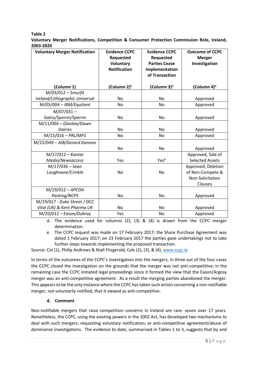**Table 2** 

**Voluntary Merger Notifications, Competition & Consumer Protection Commission Role, Ireland, 2003-2020**

| <b>Voluntary Merger Notification</b> | <b>Evidence CCPC</b><br>Requested<br>Voluntary<br><b>Notification</b> | <b>Evidence CCPC</b><br>Requested<br><b>Parties Cease</b><br>Implementation<br>of Transaction | <b>Outcome of CCPC</b><br><b>Merger</b><br>Investigation |
|--------------------------------------|-----------------------------------------------------------------------|-----------------------------------------------------------------------------------------------|----------------------------------------------------------|
| (Column 1)                           | (Column 2) <sup>a</sup>                                               | (Column 3) <sup>a</sup>                                                                       | (Column 4) <sup>a</sup>                                  |
| $M/03/012 - 5m$ urfit                |                                                                       |                                                                                               |                                                          |
| Ireland/Lithographic Universal       | <b>No</b>                                                             | No                                                                                            | Approved                                                 |
| $M/05/004 - IBM/Equitant$            | <b>No</b>                                                             | <b>No</b>                                                                                     | Approved                                                 |
| $M/07/031 -$                         |                                                                       |                                                                                               |                                                          |
| Galco/Sperrin/Sperrin                | No                                                                    | No                                                                                            | Approved                                                 |
| $M/11/004 - Glanbia/Dawn$            |                                                                       |                                                                                               |                                                          |
| <b>Dairies</b>                       | <b>No</b>                                                             | <b>No</b>                                                                                     | Approved                                                 |
| $M/15/016 - PRL/MFS$                 | No                                                                    | No                                                                                            | Approved                                                 |
| M/15/049 - AIB/Gerard Gannon         |                                                                       |                                                                                               |                                                          |
|                                      | No                                                                    | No                                                                                            | Approved                                                 |
| $M/17/012 - Kantar$                  |                                                                       |                                                                                               | Approved, Sale of                                        |
| Media/Newsaccess                     | Yes                                                                   | Yesb                                                                                          | <b>Selected Assets</b>                                   |
| $M/17/036 -$ Sean                    |                                                                       |                                                                                               | Approved, Deletion                                       |
| Loughnane/Crinkle                    | <b>No</b>                                                             | <b>No</b>                                                                                     | of Non-Compete &                                         |
|                                      |                                                                       |                                                                                               | Non-Solicitation                                         |
|                                      |                                                                       |                                                                                               | Clauses                                                  |
| $M/19/012 - APCOA$                   |                                                                       |                                                                                               |                                                          |
| Parking/NCPS                         | No                                                                    | No                                                                                            | Approved                                                 |
| M/19/017 - Duke Street / DCC         |                                                                       |                                                                                               |                                                          |
| Vital (UK) & Kent Pharma UK          | <b>No</b>                                                             | No                                                                                            | Approved                                                 |
| $M/20/012 - Eason/Dubray$            | Yes                                                                   | No                                                                                            | Approved                                                 |

d. The evidence used for columns (2), (3) & (4) is drawn from the CCPC merger determination.

e. The CCPC request was made on 17 February 2017; the Share Purchase Agreement was dated 1 February 2017; on 23 February 2017 the parties gave undertakings not to take further steps towards implementing the proposed transaction.

Source: Col (1), Philip Andrews & Niall Fitzgerald; Cols (2), (3), & (4), [www.ccpc.ie](http://www.ccpc.ie/)

In terms of the outcomes of the CCPC's investigation into the mergers, in three out of the four cases the CCPC closed the investigation on the grounds that the merger was not anti-competitive; in the remaining case the CCPC initiated legal proceedings since it formed the view that the Eason/Argosy merger was an anti-competitive agreement. As a result the merging parties abandoned the merger. This appears to be the only instance where the CCPC has taken such action concerning a non-notifiable merger, not voluntarily notified, that it viewed as anti-competitive.

# **d. Comment**

Non-notifiable mergers that raise competition concerns in Ireland are rare: seven over 17 years. Nonetheless, the CCPC, using the existing powers in the 2002 Act, has developed two mechanisms to deal with such mergers: requesting voluntary notification; or anti-competitive agreement/abuse of dominance investigations. The evidence to date, summarised in Tables 1 to 3, suggests that by and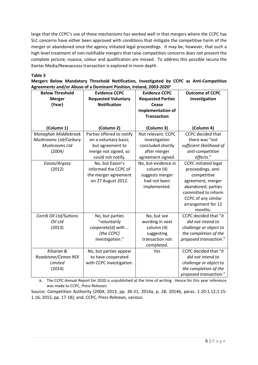large that the CCPC's use of these mechanisms has worked well in that mergers where the CCPC has SLC concerns have either been approved with conditions that mitigate the competitive harm of the merger or abandoned once the agency initiated legal proceedings. It may be, however, that such a high level treatment of non-notifiable mergers that raise competition concerns does not present the complete picture; nuance, colour and qualification are missed. To address this possible lacuna the Kantar Media/Newsaccess transaction is explored in more depth.

## **Table 3**

**Mergers Below Mandatory Threshold Notification, Investigated by CCPC as Anti-Competitive Agreements and/or Abuse of a Dominant Position, Ireland, 2003-2020<sup>a</sup>**

| <b>Below Threshold</b> | <b>Evidence CCPC</b>       | <b>Evidence CCPC</b>     | <b>Outcome of CCPC</b>       |
|------------------------|----------------------------|--------------------------|------------------------------|
| <b>Merger</b>          | <b>Requested Voluntary</b> | <b>Requested Parties</b> | Investigation                |
| (Year)                 | <b>Notification</b>        | Cease                    |                              |
|                        |                            | <b>Implementation of</b> |                              |
|                        |                            | <b>Transaction</b>       |                              |
|                        |                            |                          |                              |
| (Column 1)             | (Column 2)                 | (Column 3)               | (Column 4)                   |
| Monaghan Middlebrook   | Parties offered to notify  | Not relevant. CCPC       | <b>CCPC</b> decided that     |
| Mushrooms Ltd/Carbury  | on a voluntary basis;      | investigation            | there was "not               |
| Mushrooms Ltd          | but agreement to           | concluded shortly        | sufficient likelihood of     |
| (2004)                 | merge not signed, so       | after merger             | anti-competitive             |
|                        | could not notify.          | agreement signed.        | effects."                    |
| Eason/Argosy           | No, but Eason's            | No, but evidence in      | <b>CCPC</b> initiated legal  |
| (2012)                 | informed the CCPC of       | column (4)               | proceedings, anti-           |
|                        | the merger agreement       | suggests merger          | competitive                  |
|                        | on 27 August 2012.         | had not been             | agreement, merger            |
|                        |                            | implemented.             | abandoned; parties           |
|                        |                            |                          | committed to inform          |
|                        |                            |                          | CCPC of any similar          |
|                        |                            |                          | arrangement for 12           |
|                        |                            |                          | months.                      |
| Corrib Oil Ltd/Suttons | No, but parties            | No, but see              | <b>CCPC</b> decided that "it |
| Oil Ltd                | "voluntarily               | wording in next          | did not intend to            |
| (2013)                 | cooperate[d] with          | column (4)               | challenge or object to       |
|                        | [the CCPC]                 | suggesting               | the completion of the        |
|                        | investigation."            | transaction not          | proposed transaction."       |
|                        |                            | completed.               |                              |
| Kilsaran &             | No, but parties appear     | Yes                      | <b>CCPC</b> decided that "it |
| Roadstone/Cemex ROI    | to have cooperated         |                          | did not intend to            |
| Limited                | with CCPC investigation.   |                          | challenge or object to       |
| (2014)                 |                            |                          | the completion of the        |
|                        |                            |                          | proposed transaction."       |

a. The CCPC *Annual Report* for 2020 is unpublished at the time of writing. Hence for this year reference was made to CCPC, *Press Releases*

Source: Competition Authority (2004; 2013, pp. 30-31; 2014a, p. 28; 2014b, paras. 1.10-1.12;1.15- 1.16; 2015, pp. 17-18); and, CCPC, *Press Releases*, various.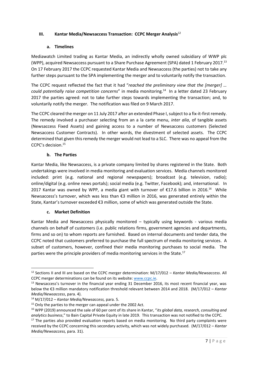## **III. Kantar Media/Newsaccess Transaction: CCPC Merger Analysis**<sup>12</sup>

## **a. Timelines**

Mediawatch Limited trading as Kantar Media, an indirectly wholly owned subsidiary of WWP plc (WPP), acquired Newsaccess pursuant to a Share Purchase Agreement (SPA) dated 1 February 2017.<sup>13</sup> On 17 February 2017 the CCPC requested Kantar Media and Newsaccess (the parties) not to take any further steps pursuant to the SPA implementing the merger and to voluntarily notify the transaction.

The CCPC request reflected the fact that it had "*reached the preliminary view that the [merger] …*  could potentially raise competition concerns" in media monitoring.<sup>14</sup> In a letter dated 23 February 2017 the parties agreed: not to take further steps towards implementing the transaction; and, to voluntarily notify the merger. The notification was filed on 9 March 2017.

The CCPC cleared the merger on 11 July 2017 after an extended Phase I, subject to a fix-it-first remedy. The remedy involved a purchaser selecting from an a la carte menu, *inter alia*, of tangible assets (Newsaccess Fixed Assets) and gaining access to a number of Newsaccess customers (Selected Newsaccess Customer Contracts). In other words, the divestment of selected assets. The CCPC determined that given this remedy the merger would not lead to a SLC. There was no appeal from the CCPC's decision.<sup>15</sup>

# **b. The Parties**

Kantar Media, like Newsaccess, is a private company limited by shares registered in the State. Both undertakings were involved in media monitoring and evaluation services. Media channels monitored included: print (e.g. national and regional newspapers); broadcast (e.g. television, radio); online/digital (e.g. online news portals); social media (e.g. Twitter, Facebook); and, international. In 2017 Kantar was owned by WPP, a media giant with turnover of €17.6 billion in 2016.<sup>16</sup> While Newsaccess's turnover, which was less than €3 million in 2016, was generated entirely within the State, Kantar's turnover exceeded €3 million, some of which was generated outside the State.

## **c. Market Definition**

Kantar Media and Newsaccess physically monitored – typically using keywords - various media channels on behalf of customers (i.e. public relations firms, government agencies and departments, firms and so on) to whom reports are furnished. Based on internal documents and tender data, the CCPC noted that customers preferred to purchase the full spectrum of media monitoring services. A subset of customers, however, confined their media monitoring purchases to social media. The parties were the principle providers of media monitoring services in the State.<sup>17</sup>

<sup>12</sup> Sections II and III are based on the CCPC merger determination: M/17/012 – *Kantar Media/Newsaccess*. All CCPC merger determinations can be found on its website: [www.ccpc.ie.](http://www.ccpc.ie/)

<sup>&</sup>lt;sup>13</sup> Newsaccess's turnover in the financial year ending 31 December 2016, its most recent financial year, was below the €3 million mandatory notification threshold relevant between 2014 and 2018. (M/17/012 – *Kantar Media/Newsaccess*, para. 4).

<sup>14</sup> M/17/012 – *Kantar Media/Newsaccess,* para. 5.

<sup>&</sup>lt;sup>15</sup> Only the parties to the merger can appeal under the 2002 Act.

<sup>16</sup> WPP (2019) announced the sale of 60 per cent of its share in Kantar, "*its global data, research, consulting and analytics business*," to Bain Capital Private Equity in late 2019. This transaction was not notified to the CCPC.

 $17$  The parties also provided evaluation reports based on media monitoring. No third party complaints were received by the CCPC concerning this secondary activity, which was not widely purchased. (M/17/012 – *Kantar Media/Newsaccess,* para. 31).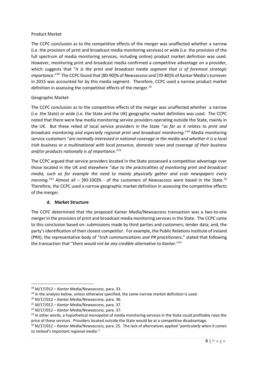#### Product Market

The CCPC conclusion as to the competitive effects of the merger was unaffected whether a narrow (i.e. the provision of print and broadcast media monitoring services) or wide (i.e. the provision of the full spectrum of media monitoring services, including online) product market definition was used. However, monitoring print and broadcast media confirmed a competitive advantage on a provider, which suggests that "*it is the print and broadcast media segment that is of foremost strategic*  importance."<sup>18</sup> The CCPC found that [80-90]% of Newsaccess and [70-80]% of Kantar Media's turnover in 2015 was accounted for by this media segment. Therefore, CCPC used a narrow product market definition in assessing the competitive effects of the merger.<sup>19</sup>

## Geographic Market

The CCPC conclusion as to the competitive effects of the merger was unaffected whether a narrow (i.e. the State) or wide (i.e. the State and the UK) geographic market definition was used. The CCPC noted that there were few media monitoring service providers operating outside the State, mainly in the UK. But these relied of local service providers in the State "*as far as it relates to print and broadcast monitoring and especially regional print and broadcast monitoring*."<sup>20</sup> Media monitoring service customers "*are normally interested in national coverage in the media and whether it is a local Irish business or a multinational with local presence, domestic news and coverage of their business and/or products nationally is of importance*."<sup>21</sup>

The CCPC argued that service providers located in the State possessed a competitive advantage over those located in the UK and elsewhere "*due to the practicalities of monitoring print and broadcast media, such as for example the need to mainly physically gather and scan newspapers every*  morning."<sup>22</sup> Almost all – [90-100]% - of the customers of Newsaccess were based in the State.<sup>23</sup> Therefore, the CCPC used a narrow geographic market definition in assessing the competitive effects of the merger.

## **d. Market Structure**

The CCPC determined that the proposed Kantar Media/Newsaccess transaction was a two-to-one merger in the provision of print and broadcast media monitoring services in the State. The CCPC came to this conclusion based on: submissions made by third parties and customers; tender data; and, the party's identification of their closest competitor. For example, the Public Relations Institute of Ireland (PRII), the representative body of "*Irish communications and PR practitioners*," stated that following the transaction that "*there would not be any credible alternative to Kantar*."<sup>24</sup>

<sup>18</sup> M/17/012 – *Kantar Media/Newsaccess,* para. 33.

<sup>&</sup>lt;sup>19</sup> In the analysis below, unless otherwise specified, the same narrow market definition is used.

<sup>20</sup> M/17/012 – *Kantar Media/Newsaccess,* para. 36.

<sup>21</sup> M/17/012 – *Kantar Media/Newsaccess,* para. 37.

<sup>22</sup> M/17/012 – *Kantar Media/Newsaccess,* para. 37.

<sup>&</sup>lt;sup>23</sup> In other words, a hypothetical monopolist of media monitoring services in the State could profitably raise the price of these services. Providers located outside the State would be at a competitive disadvantage.

<sup>24</sup> M/17/012 – *Kantar Media/Newsaccess,* para. 25. The lack of alternatives applied "*particularly when it comes to Ireland's important regional media*."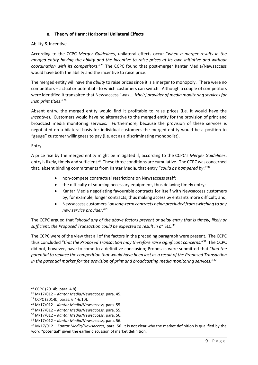### **e. Theory of Harm: Horizontal Unilateral Effects**

#### Ability & Incentive

According to the CCPC *Merger Guidelines*, unilateral effects occur "*when a merger results in the merged entity having the ability and the incentive to raise prices at its own initiative and without coordination with its competitors*."<sup>25</sup> The CCPC found that post-merger Kantar Media/Newsaccess would have both the ability and the incentive to raise price.

The merged entity will have the *ability* to raise prices since it is a merger to monopoly. There were no competitors – actual or potential - to which customers can switch. Although a couple of competitors were identified it transpired that Newsaccess "*was … [their] provider of media monitoring services for Irish print titles*."<sup>26</sup>

Absent entry, the merged entity would find it profitable to raise prices (i.e. it would have the *incentive*). Customers would have no alternative to the merged entity for the provision of print and broadcast media monitoring services. Furthermore, because the provision of these services is negotiated on a bilateral basis for individual customers the merged entity would be a position to "gauge" customer willingness to pay (i.e. act as a discriminating monopolist).

#### Entry

A price rise by the merged entity might be mitigated if, according to the CCPC's *Merger Guidelines*, entry is likely, timely and sufficient.<sup>27</sup> These three conditions are cumulative. The CCPC was concerned that, absent binding commitments from Kantar Media, that entry "*could be hampered by*:" 28

- non-compete contractual restrictions on Newsaccess staff;
- the difficulty of sourcing necessary equipment, thus delaying timely entry;
- Kantar Media negotiating favourable contracts for itself with Newsaccess customers by, for example, longer contracts, thus making access by entrants more difficult; and,
- Newsaccess customers "*on long-term contracts being precluded from switching to any new service provider*."<sup>29</sup>

The CCPC argued that "*should any of the above factors prevent or delay entry that is timely, likely or*  sufficient, the Proposed Transaction could be expected to result in a" SLC.<sup>30</sup>

The CCPC were of the view that all of the factors in the preceding paragraph were present. The CCPC thus concluded "*that the Proposed Transaction may therefore raise significant concerns*."<sup>31</sup> The CCPC did not, however, have to come to a definitive conclusion; Proposals were submitted that "*had the potential to replace the competition that would have been lost as a result of the Proposed Transaction in the potential market for the provision of print and broadcasting media monitoring services.*" 32

<sup>25</sup> CCPC (2014b, para. 4.8).

<sup>26</sup> M/17/012 – *Kantar Media/Newsaccess,* para. 45.

<sup>27</sup> CCPC (2014b, paras. 6.4-6.10).

<sup>28</sup> M/17/012 – *Kantar Media/Newsaccess,* para. 55.

<sup>29</sup> M/17/012 – *Kantar Media/Newsaccess,* para. 55.

<sup>30</sup> M/17/012 – *Kantar Media/Newsaccess,* para. 56.

<sup>31</sup> M/17/012 – *Kantar Media/Newsaccess,* para. 56.

<sup>32</sup> M/17/012 – *Kantar Media/Newsaccess,* para. 56. It is not clear why the market definition is qualified by the word "potential" given the earlier discussion of market definition.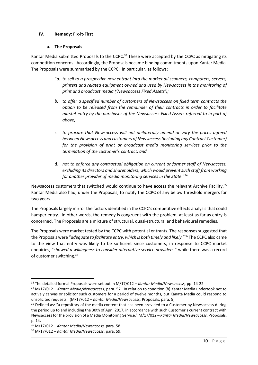## **IV. Remedy: Fix-it-First**

#### **a. The Proposals**

Kantar Media submitted Proposals to the CCPC.<sup>33</sup> These were accepted by the CCPC as mitigating its competition concerns. Accordingly, the Proposals became binding commitments upon Kantar Media. The Proposals were summarised by the CCPC, in particular, as follows:

- "*a. to sell to a prospective new entrant into the market all scanners, computers, servers, printers and related equipment owned and used by Newsaccess in the monitoring of print and broadcast media ('Newsaccess Fixed Assets');*
- *b. to offer a specified number of customers of Newsaccess on fixed term contracts the option to be released from the remainder of their contracts in order to facilitate market entry by the purchaser of the Newsaccess Fixed Assets referred to in part a) above;*
- *c. to procure that Newsaccess will not unilaterally amend or vary the prices agreed between Newsaccess and customers of Newsaccess (including any Contract Customer) for the provision of print or broadcast media monitoring services prior to the termination of the customer's contract; and*
- d. *not to enforce any contractual obligation on current or former staff of Newsaccess, excluding its directors and shareholders, which would prevent such staff from working for another provider of media monitoring services in the State*."<sup>34</sup>

Newsaccess customers that switched would continue to have access the relevant Archive Facility.<sup>35</sup> Kantar Media also had, under the Proposals, to notify the CCPC of any below threshold mergers for two years.

The Proposals largely mirror the factors identified in the CCPC's competitive effects analysis that could hamper entry. In other words, the remedy is congruent with the problem, at least as far as entry is concerned. The Proposals are a mixture of structural, quasi-structural and behavioural remedies.

The Proposals were market tested by the CCPC with potential entrants. The responses suggested that the Proposals were "*adequate to facilitate entry, which is both timely and likely.*" <sup>36</sup> The CCPC also came to the view that entry was likely to be sufficient since customers, in response to CCPC market enquiries, "*showed a willingness to consider alternative service providers*," while there was a record of customer switching.<sup>37</sup>

<sup>33</sup> The detailed formal Proposals were set out in M/17/012 – *Kantar Media/Newsaccess,* pp. 14-22.

<sup>34</sup> M/17/012 – *Kantar Media/Newsaccess,* para. 57. In relation to condition (b) Kantar Media undertook not to actively canvas or solicitor such customers for a period of twelve months, but Kanata Media could respond to unsolicited requests. (M/17/012 – *Kantar Media/Newsaccess,* Proposals, para. 5).

<sup>&</sup>lt;sup>35</sup> Defined as: "a repository of the media content that has been provided to a Customer by Newsaccess during the period up to and including the 30th of April 2017, in accordance with such Customer's current contract with Newsaccess for the provision of a Media Monitoring Service." M/17/012 – *Kantar Media/Newsaccess,* Proposals, p. 14.

<sup>36</sup> M/17/012 – *Kantar Media/Newsaccess,* para. 58.

<sup>37</sup> M/17/012 – *Kantar Media/Newsaccess,* para. 59.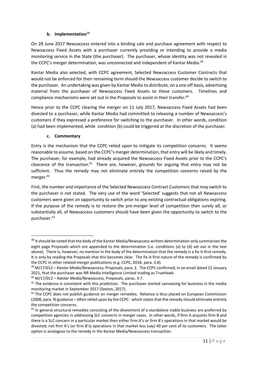## **b. Implementation**<sup>38</sup>

On 28 June 2017 Newsaccess entered into a binding sale and purchase agreement with respect to Newsaccess Fixed Assets with a purchaser currently providing or intending to provide a media monitoring service in the State (the purchaser). The purchaser, whose identity was not revealed in the CCPC's merger determination, was unconnected and independent of Kantar Media.<sup>39</sup>

Kantar Media also selected, with CCPC agreement, Selected Newsaccess Customer Contracts that would not be enforced for their remaining term should the Newsaccess customer decide to switch to the purchaser. An undertaking was given by Kantar Media to distribute, on a one off basis, advertising material from the purchaser of Newsaccess Fixed Assets to these customers. Timelines and compliance mechanisms were set out in the Proposals to assist in their transfer. $40$ 

Hence prior to the CCPC clearing the merger on 11 July 2017, Newsaccess Fixed Assets had been divested to a purchaser, while Kantar Media had committed to releasing a number of Newsaccess's customers if they expressed a preference for switching to the purchaser. In other words, condition (a) had been implemented, while condition (b) could be triggered at the discretion of the purchaser.

## **c. Commentary**

Entry is the mechanism that the CCPC relied upon to mitigate its competition concerns. It seems reasonable to assume, based on the CCPC's merger determination, that entry will be likely and timely. The purchaser, for example, had already acquired the Newsaccess Fixed Assets prior to the CCPC's clearance of the transaction. $41$  There are, however, grounds for arguing that entry may not be sufficient. Thus the remedy may not eliminate entirely the competition concerns raised by the merger.<sup>42</sup>

First, the number and importance of the Selected Newsaccess Contract Customers that may switch to the purchaser is not stated. The very use of the word 'Selected' suggests that not all Newsaccess customers were given an opportunity to switch prior to any existing contractual obligations expiring. If the purpose of the remedy is to restore the pre-merger level of competition then surely *all,* or substantially all, of Newsaccess customers should have been given the opportunity to switch to the purchaser.<sup>43</sup>

<sup>40</sup> M/17/012 – *Kantar Media/Newsaccess,* Proposals, paras. 3-7.

<sup>&</sup>lt;sup>38</sup> It should be noted that the body of the Kantar Media/Newsaccess written determination only summarises the eight page Proposals which are appended to the determination (i.e. conditions (a) to (d) set out in the text above). There is, however, no mention in the body of the determination that the remedy is a fix-it-first remedy. It is only by reading the Proposals that this becomes clear. The fix-it-first nature of the remedy is confirmed by the CCPC in other related merger publications (e.g. CCPC, 2018, para. 3.8).

<sup>39</sup> M/17/012 – *Kantar Media/Newsaccess,* Proposals, para. 2. The CCPC confirmed, in an email dated 15 January 2021, that the purchaser was NR Media Intelligence Limited trading as TrueHawk.

<sup>&</sup>lt;sup>41</sup> The evidence is consistent with this prediction. The purchaser started canvassing for business in the media monitoring market in September 2017 (Sexton, 2017).

<sup>&</sup>lt;sup>42</sup> The CCPC does not publish guidance on merger remedies. Reliance is thus placed on European Commission (2008, para. 9) guidance – often relied upon by the CCPC - which states that the remedy should eliminate entirely the competition concerns.

<sup>&</sup>lt;sup>43</sup> In general structural remedies consisting of the divestment of a standalone viable business are preferred by competition agencies in addressing SLC concerns in merger cases. In other words, if firm A acquires firm B and there is a SLC concern in a particular market then either firm A's or firm B's operations in that market would be divested; not firm A's (or firm B's) operations in that market less (say) 40 per cent of its customers. The latter option is analogous to the remedy in the Kantar Media/Newsaccess transaction.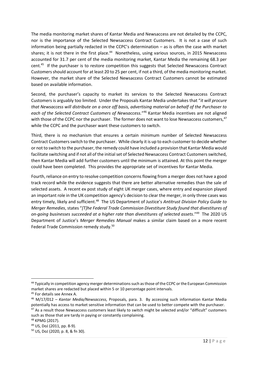The media monitoring market shares of Kantar Media and Newsaccess are not detailed by the CCPC, nor is the importance of the Selected Newsaccess Contract Customers. It is not a case of such information being partially redacted in the CCPC's determination – as is often the case with market shares; it is not there in the first place.<sup>44</sup> Nonetheless, using various sources, in 2015 Newsaccess accounted for 31.7 per cent of the media monitoring market, Kantar Media the remaining 68.3 per cent.<sup>45</sup> If the purchaser is to restore competition this suggests that Selected Newsaccess Contract Customers should account for at least 20 to 25 per cent, if not a third, of the media monitoring market. However, the market share of the Selected Newsaccess Contract Customers cannot be estimated based on available information.

Second, the purchaser's capacity to market its services to the Selected Newsaccess Contract Customers is arguably too limited. Under the Proposals Kantar Media undertakes that "*it will procure that Newsaccess will distribute on a once off basis, advertising material on behalf of the Purchaser to*  each of the Selected Contract Customers of Newsaccess."<sup>46</sup> Kantar Media incentives are not aligned with those of the CCPC nor the purchaser. The former does not want to lose Newsaccess customers, <sup>47</sup> while the CCPC and the purchaser want these customers to switch.

Third, there is no mechanism that ensures a certain minimum number of Selected Newsaccess Contract Customers switch to the purchaser. While clearly it is up to each customer to decide whether or not to switch to the purchaser, the remedy could have included a provision that Kantar Media would facilitate switching and if not all of the initial set of Selected Newsaccess Contract Customers switched, then Kantar Media will add further customers until the minimum is attained. At this point the merger could have been completed. This provides the appropriate set of incentives for Kantar Media.

Fourth, reliance on entry to resolve competition concerns flowing from a merger does not have a good track record while the evidence suggests that there are better alternative remedies than the sale of selected assets. A recent ex post study of eight UK merger cases, where entry and expansion played an important role in the UK competition agency's decision to clear the merger, in only three cases was entry timely, likely and sufficient.<sup>48</sup> The US Department of Justice's *Antitrust Division Policy Guide to Merger Remedies*, states "*[T]he Federal Trade Commission Divestiture Study found that divestitures of*  on-going businesses succeeded at a higher rate than divestitures of selected assets."<sup>49</sup> The 2020 US Department of Justice's *Merger Remedies Manual* makes a similar claim based on a more recent Federal Trade Commission remedy study.<sup>50</sup>

<sup>44</sup> Typically in competition agency merger determinations such as those of the CCPC or the European Commission market shares are redacted but placed within 5 or 10 percentage point intervals.

<sup>45</sup> For details see Annex A.

<sup>46</sup> M/17/012 – *Kantar Media/Newsaccess,* Proposals*,* para. 3. By accessing such information Kantar Media potentially has access to market sensitive information that can be used to better compete with the purchaser. <sup>47</sup> As a result those Newsaccess customers least likely to switch might be selected and/or "difficult" customers

such as those that are tardy in paying or constantly complaining.

<sup>48</sup> KPMG (2017).

<sup>49</sup> US, DoJ (2011, pp. 8-9).

<sup>50</sup> US, DoJ (2020, p. 8, & fn 30).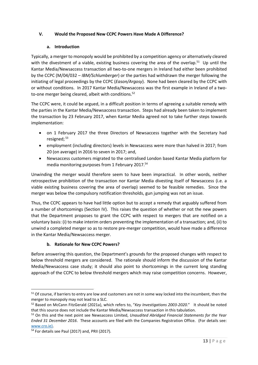# **V. Would the Proposed New CCPC Powers Have Made A Difference?**

## **a. Introduction**

Typically, a merger to monopoly would be prohibited by a competition agency or alternatively cleared with the divestment of a viable, existing business covering the area of the overlap.<sup>51</sup> Up until the Kantar Media/Newsaccess transaction all two-to-one mergers in Ireland had either been prohibited by the CCPC (M/04/032 – *IBM/Schlumberger*) or the parties had withdrawn the merger following the initiating of legal proceedings by the CCPC (*Eason/Argosy*). None had been cleared by the CCPC with or without conditions. In 2017 Kantar Media/Newsaccess was the first example in Ireland of a twoto-one merger being cleared, albeit with conditions.<sup>52</sup>

The CCPC were, it could be argued, in a difficult position in terms of agreeing a suitable remedy with the parties in the Kantar Media/Newsaccess transaction. Steps had already been taken to implement the transaction by 23 February 2017, when Kantar Media agreed not to take further steps towards implementation:

- on 1 February 2017 the three Directors of Newsaccess together with the Secretary had resigned; <sup>53</sup>
- employment (including directors) levels in Newsaccess were more than halved in 2017; from 20 (on average) in 2016 to seven in 2017; and,
- Newsaccess customers migrated to the centralised London based Kantar Media platform for media monitoring purposes from 1 February 2017.<sup>54</sup>

Unwinding the merger would therefore seem to have been impractical. In other words, neither retrospective prohibition of the transaction nor Kantar Media divesting itself of Newsaccess (i.e. a viable existing business covering the area of overlap) seemed to be feasible remedies. Since the merger was below the compulsory notification thresholds, gun jumping was not an issue.

Thus, the CCPC appears to have had little option but to accept a remedy that arguably suffered from a number of shortcomings (Section IV). This raises the question of whether or not the new powers that the Department proposes to grant the CCPC with respect to mergers that are notified on a voluntary basis: (i) to make interim orders preventing the implementation of a transaction; and, (ii) to unwind a completed merger so as to restore pre-merger competition, would have made a difference in the Kantar Media/Newsaccess merger.

# **b. Rationale for New CCPC Powers?**

Before answering this question, the Department's grounds for the proposed changes with respect to below threshold mergers are considered. The rationale should inform the discussion of the Kantar Media/Newsaccess case study; it should also point to shortcomings in the current long standing approach of the CCPC to below threshold mergers which may raise competition concerns. However,

<sup>&</sup>lt;sup>51</sup> Of course, if barriers to entry are low and customers are not in some way locked into the incumbent, then the merger to monopoly may not lead to a SLC.

<sup>52</sup> Based on McCann FitzGerald (2021a), which refers to, "*Key Investigations 2003-2020*." It should be noted that this source does not include the Kantar Media/Newsaccess transaction in this tabulation.

<sup>53</sup> On this and the next point see Newsaccess Limited, *Unaudited Abridged Financial Statements for the Year Ended 31 December 2016*. These accounts are filed with the Companies Registration Office. (For details see: [www.cro.ie\)](http://www.cro.ie/).

<sup>&</sup>lt;sup>54</sup> For details see Paul (2017) and, PRII (2017).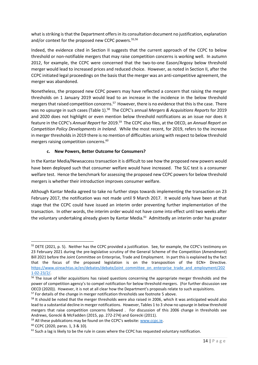what is striking is that the Department offers in its consultation document no justification, explanation and/or context for the proposed new CCPC powers.<sup>55,56</sup>

Indeed, the evidence cited in Section II suggests that the current approach of the CCPC to below threshold or non-notifiable mergers that may raise competition concerns is working well. In autumn 2012, for example, the CCPC were concerned that the two-to-one Eason/Argosy below threshold merger would lead to increased prices and reduced choice. However, as noted in Section II, after the CCPC initiated legal proceedings on the basis that the merger was an anti-competitive agreement, the merger was abandoned.

Nonetheless, the proposed new CCPC powers may have reflected a concern that raising the merger thresholds on 1 January 2019 would lead to an increase in the incidence in the below threshold mergers that raised competition concerns.<sup>57</sup> However, there is no evidence that this is the case. There was no upsurge in such cases (Table 1).<sup>58</sup> The CCPC's annual *Mergers & Acquisitions Reports* for 2019 and 2020 does not highlight or even mention below threshold notifications as an issue nor does it feature in the CCPC's Annual Report for 2019.<sup>59</sup> The CCPC also files, at the OECD, an Annual Report on *Competition Policy Developments in Ireland.* While the most recent, for 2019, refers to the increase in merger thresholds in 2019 there is no mention of difficulties arising with respect to below threshold mergers raising competition concerns.<sup>60</sup>

# **c. New Powers, Better Outcome for Consumers?**

In the Kantar Media/Newsaccess transaction it is difficult to see how the proposed new powers would have been deployed such that consumer welfare would have increased. The SLC test is a consumer welfare test. Hence the benchmark for assessing the proposed new CCPC powers for below threshold mergers is whether their introduction improves consumer welfare.

Although Kantar Media agreed to take no further steps towards implementing the transaction on 23 February 2017, the notification was not made until 9 March 2017. It would only have been at that stage that the CCPC could have issued an interim order preventing further implementation of the transaction. In other words, the interim order would not have come into effect until two weeks after the voluntary undertaking already given by Kantar Media.<sup>61</sup> Admittedly an interim order has greater

<sup>&</sup>lt;sup>55</sup> DETE (2021, p. 5). Neither has the CCPC provided a justification. See, for example, the CCPC's testimony on 23 February 2021 during the pre-legislative scrutiny of the General Scheme of the Competition (Amendment) Bill 2021 before the Joint Committee on Enterprise, Trade and Employment. In part this is explained by the fact that the focus of the proposed legislation is on the transposition of the ECN+ Directive. [https://www.oireachtas.ie/en/debates/debate/joint\\_committee\\_on\\_enterprise\\_trade\\_and\\_employment/202](https://www.oireachtas.ie/en/debates/debate/joint_committee_on_enterprise_trade_and_employment/2021-02-23/2/) [1-02-23/2/.](https://www.oireachtas.ie/en/debates/debate/joint_committee_on_enterprise_trade_and_employment/2021-02-23/2/) 

<sup>&</sup>lt;sup>56</sup> The issue of killer acquisitions has raised questions concerning the appropriate merger thresholds and the power of competition agency's to compel notification for below threshold mergers. (For further discussion see OECD (2020)). However, it is not at all clear how the Department's proposals relate to such acquisitions. <sup>57</sup> For details of the change in merger notification thresholds see footnote 5 above.

<sup>&</sup>lt;sup>58</sup> It should be noted that the merger thresholds were also raised in 2006, which it was anticipated would also lead to a substantial decline in merger notifications. However, Tables 1 to 3 show no upsurge in below threshold mergers that raise competition concerns followed . For discussion of this 2006 change in thresholds see Andrews, Gorecki & McFadden (2015, pp. 272-274) and Gorecki (2011).

<sup>&</sup>lt;sup>59</sup> All these publications may be found on the CCPC's website: www.ccpc.ie.

<sup>60</sup> CCPC (2020, paras. 1, 3 & 10)*.*

 $61$  Such a lag is likely to be the rule in cases where the CCPC has requested voluntary notification.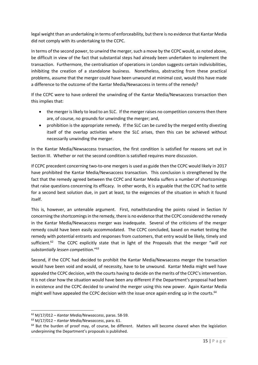legal weight than an undertaking in terms of enforceability, but there is no evidence that Kantar Media did not comply with its undertaking to the CCPC.

In terms of the second power, to unwind the merger, such a move by the CCPC would, as noted above, be difficult in view of the fact that substantial steps had already been undertaken to implement the transaction. Furthermore, the centralisation of operations in London suggests certain indivisibilities, inhibiting the creation of a standalone business. Nonetheless, abstracting from these practical problems, assume that the merger could have been unwound at minimal cost, would this have made a difference to the outcome of the Kantar Media/Newsaccess in terms of the remedy?

If the CCPC were to have ordered the unwinding of the Kantar Media/Newsaccess transaction then this implies that:

- the merger is likely to lead to an SLC. If the merger raises no competition concerns then there are, of course, no grounds for unwinding the merger; and,
- prohibition is the appropriate remedy. If the SLC can be cured by the merged entity divesting itself of the overlap activities where the SLC arises, then this can be achieved without necessarily unwinding the merger.

In the Kantar Media/Newsaccess transaction, the first condition is satisfied for reasons set out in Section III. Whether or not the second condition is satisfied requires more discussion.

If CCPC precedent concerning two-to-one mergers is used as guide then the CCPC would likely in 2017 have prohibited the Kantar Media/Newsaccess transaction. This conclusion is strengthened by the fact that the remedy agreed between the CCPC and Kantar Media suffers a number of shortcomings that raise questions concerning its efficacy. In other words, it is arguable that the CCPC had to settle for a second best solution due, in part at least, to the exigencies of the situation in which it found itself.

This is, however, an untenable argument. First, notwithstanding the points raised in Section IV concerning the shortcomings in the remedy, there is no evidence that the CCPC considered the remedy in the Kantar Media/Newsaccess merger was inadequate. Several of the criticisms of the merger remedy could have been easily accommodated. The CCPC concluded, based on market testing the remedy with potential entrants and responses from customers, that entry would be likely, timely and sufficient.<sup>62</sup> The CCPC explicitly state that in light of the Proposals that the merger "will not *substantially lessen competition*."<sup>63</sup>

Second, if the CCPC had decided to prohibit the Kantar Media/Newsaccess merger the transaction would have been void and would, of necessity, have to be unwound. Kantar Media might well have appealed the CCPC decision, with the courts having to decide on the merits of the CCPC's intervention. It is not clear how the situation would have been any different if the Department's proposal had been in existence and the CCPC decided to unwind the merger using this new power. Again Kantar Media might well have appealed the CCPC decision with the issue once again ending up in the courts.<sup>64</sup>

<sup>62</sup> M/17/012 – *Kantar Media/Newsaccess*, paras. 58-59.

<sup>63</sup> M/17/012 – *Kantar Media/Newsaccess*, para. 61.

 $64$  But the burden of proof may, of course, be different. Matters will become cleared when the legislation underpinning the Department's proposals is published.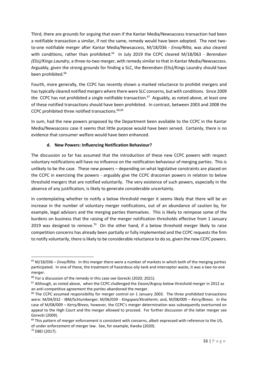Third, there are grounds for arguing that even if the Kantar Media/Newsaccess transaction had been a notifiable transaction a similar, if not the same, remedy would have been adopted. The next twoto-one notifiable merger after Kantar Media/Newsaccess, M/18/036 - *Enva/Rilta*, was also cleared with conditions, rather than prohibited.<sup>65</sup> In July 2019 the CCPC cleared M/18/063 - *Berendsen (Elis)/Kings Laundry*, a three-to-two merger, with remedy similar to that in Kantar Media/Newsaccess. Arguably, given the strong grounds for finding a SLC, the Berendsen (Elis)/Kings Laundry should have been prohibited.<sup>66</sup>

Fourth, more generally, the CCPC has recently shown a marked reluctance to prohibit mergers and has typically cleared notified mergers where there were SLC concerns, but with conditions. Since 2009 the CCPC has not prohibited a single notifiable transaction.<sup>67</sup> Arguably, as noted above, at least one of these notified transactions should have been prohibited. In contrast, between 2003 and 2008 the CCPC prohibited three notified transactions.<sup>68,69</sup>

In sum, had the new powers proposed by the Department been available to the CCPC in the Kantar Media/Newsaccess case it seems that little purpose would have been served. Certainly, there is no evidence that consumer welfare would have been enhanced.

# **d. New Powers: Influencing Notification Behaviour?**

The discussion so far has assumed that the introduction of these new CCPC powers with respect voluntary notifications will have no influence on the notification behaviour of merging parties. This is unlikely to be the case. These new powers – depending on what legislative constraints are placed on the CCPC in exercising the powers - arguably give the CCPC draconian powers in relation to below threshold mergers that are notified voluntarily. The very existence of such powers, especially in the absence of any justification, is likely to generate considerable uncertainty.

In contemplating whether to notify a below threshold merger it seems likely that there will be an increase in the number of voluntary merger notifications, out of an abundance of caution by, for example, legal advisors and the merging parties themselves. This is likely to reimpose some of the burdens on business that the raising of the merger notification thresholds effective from 1 January 2019 was designed to remove.<sup>70</sup> On the other hand, if a below threshold merger likely to raise competition concerns has already been partially or fully implemented and the CCPC requests the firm to notify voluntarily, there is likely to be considerable reluctance to do so, given the new CCPC powers.

<sup>65</sup> M/18/036 – *Enva/Rilta*. In this merger there were a number of markets in which both of the merging parties participated. In one of these, the treatment of hazardous oily tank and interceptor waste, it was a two-to-one merger.

<sup>&</sup>lt;sup>66</sup> For a discussion of the remedy in this case see Gorecki (2020; 2021).

<sup>67</sup> Although, as noted above, when the CCPC challenged the *Eason/Argosy* below threshold merger in 2012 as an anti-competitive agreement the parties abandoned the merger.

 $68$  The CCPC assumed responsibility for merger control on 1 January 2003. The three prohibited transactions were: M/04/032 - IBM/Schlumberger; M/06/039 - *Kingspan/Xtratherm*; and, M/08/009 – *Kerry/Breeo.* In the case of M/08/009 – *Kerry/Breeo,* however, the CCPC's merger determination was subsequently overturned on appeal to the High Court and the merger allowed to proceed. For further discussion of the latter merger see Gorecki (2009).

<sup>&</sup>lt;sup>69</sup> This pattern of merger enforcement is consistent with concerns, albeit expressed with reference to the US, of under enforcement of merger law. See, for example, Kwoka (2020).

<sup>70</sup> DBEI (2017).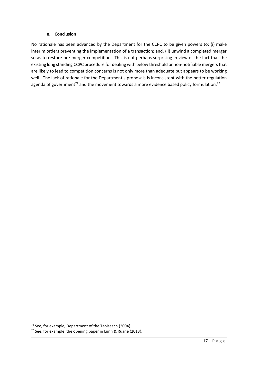#### **e. Conclusion**

No rationale has been advanced by the Department for the CCPC to be given powers to: (i) make interim orders preventing the implementation of a transaction; and, (ii) unwind a completed merger so as to restore pre-merger competition. This is not perhaps surprising in view of the fact that the existing long standing CCPC procedure for dealing with below threshold or non-notifiable mergers that are likely to lead to competition concerns is not only more than adequate but appears to be working well. The lack of rationale for the Department's proposals is inconsistent with the better regulation agenda of government<sup>71</sup> and the movement towards a more evidence based policy formulation.<sup>72</sup>

 $71$  See, for example, Department of the Taoiseach (2004).

<sup>72</sup> See, for example, the opening paper in Lunn & Ruane (2013).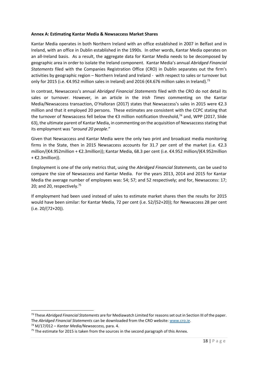#### **Annex A: Estimating Kantar Media & Newsaccess Market Shares**

Kantar Media operates in both Northern Ireland with an office established in 2007 in Belfast and in Ireland, with an office in Dublin established in the 1990s. In other words, Kantar Media operates on an all-Ireland basis. As a result, the aggregate data for Kantar Media needs to be decomposed by geographic area in order to isolate the Ireland component. Kantar Media's annual *Abridged Financial Statements* filed with the Companies Registration Office (CRO) in Dublin separates out the firm's activities by geographic region – Northern Ireland and Ireland - with respect to sales or turnover but only for 2015 (i.e.  $\epsilon$ 4.952 million sales in Ireland) and 2016 ( $\epsilon$ 4.676 million sales in Ireland).<sup>73</sup>

In contrast, Newsaccess's annual *Abridged Financial Statements* filed with the CRO do not detail its sales or turnover. However, in an article in the *Irish Times* commenting on the Kantar Media/Newsaccess transaction, O'Halloran (2017) states that Newsaccess's sales in 2015 were €2.3 million and that it employed 20 persons. These estimates are consistent with the CCPC stating that the turnover of Newsaccess fell below the €3 million notification threshold,<sup>74</sup> and, WPP (2017, Slide 63), the ultimate parent of Kantar Media, in commenting on the acquisition of Newsaccess stating that its employment was "*around 20 people*."

Given that Newsaccess and Kantar Media were the only two print and broadcast media monitoring firms in the State, then in 2015 Newsaccess accounts for 31.7 per cent of the market (i.e. €2.3 million/(€4.952million + €2.3million)); Kantar Media, 68.3 per cent (i.e. €4.952 million/(€4.952million  $+ \epsilon$ 2.3million)).

Employment is one of the only metrics that, using the *Abridged Financial Statements*, can be used to compare the size of Newsaccess and Kantar Media. For the years 2013, 2014 and 2015 for Kantar Media the average number of employees was: 54; 57; and 52 respectively; and for, Newsaccess: 17; 20; and 20, respectively.<sup>75</sup>

If employment had been used instead of sales to estimate market shares then the results for 2015 would have been similar: for Kantar Media, 72 per cent (i.e. 52/(52+20)); for Newsaccess 28 per cent (i.e. 20/(72+20)).

<sup>73</sup> These *Abridged Financial Statements* are for Mediawatch Limited for reasons set out in Section III of the paper. The *Abridged Financial Statements* can be downloaded from the CRO website: [www.cro.ie.](http://www.cro.ie/) <sup>74</sup> M/17/012 – *Kantar Media/Newsaccess,* para. 4.

 $75$  The estimate for 2015 is taken from the sources in the second paragraph of this Annex.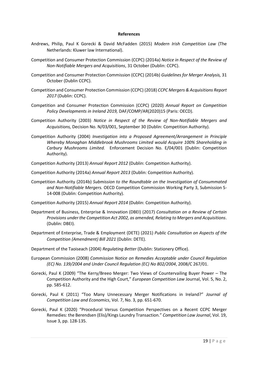#### **References**

- Andrews, Philip, Paul K Gorecki & David McFadden (2015) *Modern Irish Competition Law* (The Netherlands: Kluwer law International).
- Competition and Consumer Protection Commission (CCPC) (2014a) *Notice in Respect of the Review of Non-Notifiable Mergers and Acquisitions*, 31 October (Dublin: CCPC).
- Competition and Consumer Protection Commission (CCPC) (2014b) *Guidelines for Merger Analysis,* 31 October (Dublin CCPC).
- Competition and Consumer Protection Commission (CCPC) (2018) *CCPC Mergers & Acquisitions Report 2017* (Dublin: CCPC).
- Competition and Consumer Protection Commission (CCPC) (2020) *Annual Report on Competition Policy Developments in Ireland 2019,* DAF/COMP/AR(2020)15 (Paris: OECD)*.*
- Competition Authority (2003) *Notice in Respect of the Review of Non-Notifiable Mergers and Acquisitions,* Decision No. N/03/001, September 30 (Dublin: Competition Authority).
- Competition Authority (2004) *Investigation into a Proposed Agreement/Arrangement in Principle Whereby Monaghan Middlebrook Mushrooms Limited would Acquire 100% Shareholding in Carbury Mushrooms Limited.* Enforcement Decision No. E/04/001 (Dublin: Competition Authority).
- Competition Authority (2013) *Annual Report 2012* (Dublin: Competition Authority).
- Competition Authority (2014a) *Annual Report 2013* (Dublin: Competition Authority).
- Competition Authority (2014b) *Submission to the Roundtable on the Investigation of Consummated and Non-Notifiable Mergers.* OECD Competition Commission Working Party 3, Submission S-14-008 (Dublin: Competition Authority).
- Competition Authority (2015) *Annual Report 2014* (Dublin: Competition Authority).
- Department of Business, Enterprise & Innovation (DBEI) (2017) *Consultation on a Review of Certain Provisions under the Competition Act 2002, as amended, Relating to Mergers and Acquisitions*. (Dublin: DBEI).
- Department of Enterprise, Trade & Employment (DETE) (2021) *Public Consultation on Aspects of the Competition (Amendment) Bill 2021* (Dublin: DETE).
- Department of the Taoiseach (2004) *Regulating Better* (Dublin: Stationery Office).
- European Commission (2008) *Commission Notice on Remedies Acceptable under Council Regulation (EC) No. 139/2004 and Under Council Regulation (EC) No 802/2004*, 2008/C 267/01.
- Gorecki, Paul K (2009) "The Kerry/Breeo Merger: Two Views of Countervailing Buyer Power The Competition Authority and the High Court," *European Competition Law* Journal, Vol. 5, No. 2, pp. 585-612.
- Gorecki, Paul K (2011) "Too Many Unnecessary Merger Notifications in Ireland?" *Journal of Competition Law and Economics*, Vol. 7, No. 3, pp. 651-670.
- Gorecki, Paul K (2020) "Procedural Versus Competition Perspectives on a Recent CCPC Merger Remedies: the Berendsen (Elis)/Kings Laundry Transaction." *Competition Law Journal*, Vol. 19, Issue 3, pp. 128-135.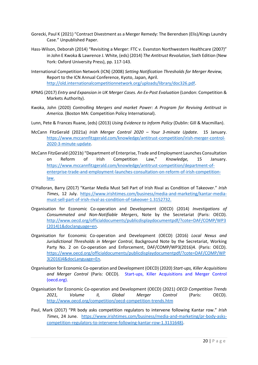- Gorecki, Paul K (2021) "Contract Divestment as a Merger Remedy: The Berendsen (Elis)/Kings Laundry Case." Unpublished Paper.
- Hass-Wilson, Deborah (2014) "Revisiting a Merger: FTC v. Evanston Northwestern Healthcare (2007)" in John E Kwoka & Lawrence J. White, (eds) (2014) *The Antitrust Revolution*, Sixth Edition (New York: Oxford University Press), pp. 117-143.
- International Competition Network (ICN) (2008) *Setting Notification Thresholds for Merger Review,* Report to the ICN Annual Conference, Kyoto, Japan, April. [http://old.internationalcompetitionnetwork.org/uploads/library/doc326.pdf.](http://old.internationalcompetitionnetwork.org/uploads/library/doc326.pdf)
- KPMG (2017) *Entry and Expansion in UK Merger Cases. An Ex-Post Evaluation* (London: Competition & Markets Authority).
- Kwoka, John (2020) *Controlling Mergers and market Power: A Program for Reviving Antitrust in America.* (Boston MA: Competition Policy International).
- Lunn, Pete & Frances Ruane, (eds) (2013) *Using Evidence to Inform Policy* (Dublin: Gill & Macmillan).
- McCann FitzGerald (2021a) *Irish Merger Control 2020 – Your 3-minute Update*. 15 January. [https://www.mccannfitzgerald.com/knowledge/antitrust-competition/irish-merger-control-](https://www.mccannfitzgerald.com/knowledge/antitrust-competition/irish-merger-control-2020-3-minute-update)[2020-3-minute-update.](https://www.mccannfitzgerald.com/knowledge/antitrust-competition/irish-merger-control-2020-3-minute-update)
- McCann FitzGerald (2021b) "Department of Enterprise, Trade and Employment Launches Consultation on Reform of Irish Competition Law," *Knowledge,* 15 January. [https://www.mccannfitzgerald.com/knowledge/antitrust-competition/department-of](https://www.mccannfitzgerald.com/knowledge/antitrust-competition/department-of-enterprise-trade-and-employment-launches-consultation-on-reform-of-irish-competition-law)[enterprise-trade-and-employment-launches-consultation-on-reform-of-irish-competition](https://www.mccannfitzgerald.com/knowledge/antitrust-competition/department-of-enterprise-trade-and-employment-launches-consultation-on-reform-of-irish-competition-law)[law.](https://www.mccannfitzgerald.com/knowledge/antitrust-competition/department-of-enterprise-trade-and-employment-launches-consultation-on-reform-of-irish-competition-law)
- O'Halloran, Barry (2017) "Kantar Media Must Sell Part of Irish Rival as Condition of Takeover." *Irish Times*, 12 July. [https://www.irishtimes.com/business/media-and-marketing/kantar-media](https://www.irishtimes.com/business/media-and-marketing/kantar-media-must-sell-part-of-irish-rival-as-condition-of-takeover-1.3152732)[must-sell-part-of-irish-rival-as-condition-of-takeover-1.3152732.](https://www.irishtimes.com/business/media-and-marketing/kantar-media-must-sell-part-of-irish-rival-as-condition-of-takeover-1.3152732)
- Organisation for Economic Co-operation and Development (OECD) (2014) *Investigations of Consummated and Non-Notifiable Mergers*, Note by the Secretariat (Paris: OECD). [http://www.oecd.org/officialdocuments/publicdisplaydocumentpdf/?cote=DAF/COMP/WP3](http://www.oecd.org/officialdocuments/publicdisplaydocumentpdf/?cote=DAF/COMP/WP3(2014)1&doclanguage=en) [\(2014\)1&doclanguage=en.](http://www.oecd.org/officialdocuments/publicdisplaydocumentpdf/?cote=DAF/COMP/WP3(2014)1&doclanguage=en)
- Organisation for Economic Co-operation and Development (OECD) (2016) *Local Nexus and Jurisdictional Thresholds in Merger Control*, Background Note by the Secretariat, Working Party No. 2 on Co-operation and Enforcement, DAF/COMP/WP3(2016)4. (Paris: OECD). [https://www.oecd.org/officialdocuments/publicdisplaydocumentpdf/?cote=DAF/COMP/WP](https://www.oecd.org/officialdocuments/publicdisplaydocumentpdf/?cote=DAF/COMP/WP3(2016)4&docLanguage=En) [3\(2016\)4&docLanguage=En.](https://www.oecd.org/officialdocuments/publicdisplaydocumentpdf/?cote=DAF/COMP/WP3(2016)4&docLanguage=En)
- Organisation for Economic Co-operation and Development (OECD) (2020) *Start-ups, Killer Acquisitions and Merger Control* (Paris: OECD). [Start-ups, Killer Acquisitions and Merger Control](http://www.oecd.org/daf/competition/start-ups-killer-acquisitions-and-merger-control-2020.pdf)  [\(oecd.org\).](http://www.oecd.org/daf/competition/start-ups-killer-acquisitions-and-merger-control-2020.pdf)
- Organisation for Economic Co-operation and Development (OECD) (2021) *OECD Competition Trends 2021, Volume II, Global Merger Control* (Paris: OECD). <http://www.oecd.org/competition/oecd-competition-trends.htm>
- Paul, Mark (2017) "PR body asks competition regulators to intervene following Kantar row." *Irish Times*, 24 June. [https://www.irishtimes.com/business/media-and-marketing/pr-body-asks](https://www.irishtimes.com/business/media-and-marketing/pr-body-asks-competition-regulators-to-intervene-following-kantar-row-1.3131648)[competition-regulators-to-intervene-following-kantar-row-1.3131648\)](https://www.irishtimes.com/business/media-and-marketing/pr-body-asks-competition-regulators-to-intervene-following-kantar-row-1.3131648).